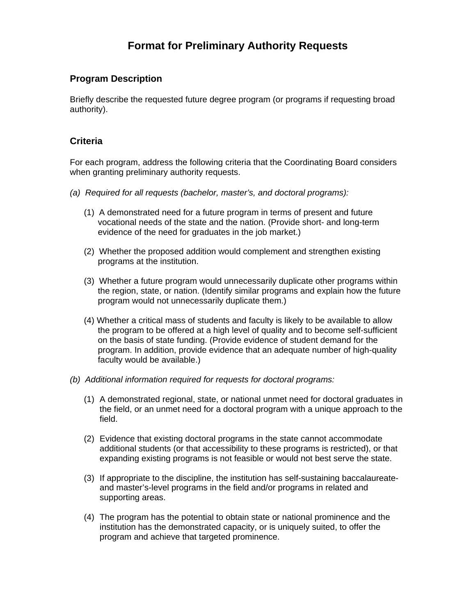## **Format for Preliminary Authority Requests**

## **Program Description**

Briefly describe the requested future degree program (or programs if requesting broad authority).

## **Criteria**

For each program, address the following criteria that the Coordinating Board considers when granting preliminary authority requests.

- *(a) Required for all requests (bachelor, master's, and doctoral programs):* 
	- (1)A demonstrated need for a future program in terms of present and future vocational needs of the state and the nation. (Provide short- and long-term evidence of the need for graduates in the job market.)
	- (2) Whether the proposed addition would complement and strengthen existing programs at the institution.
	- (3) Whether a future program would unnecessarily duplicate other programs within the region, state, or nation. (Identify similar programs and explain how the future program would not unnecessarily duplicate them.)
	- (4) Whether a critical mass of students and faculty is likely to be available to allow the program to be offered at a high level of quality and to become self-sufficient on the basis of state funding. (Provide evidence of student demand for the program. In addition, provide evidence that an adequate number of high-quality faculty would be available.)
- *(b) Additional information required for requests for doctoral programs:* 
	- (1) A demonstrated regional, state, or national unmet need for doctoral graduates in the field, or an unmet need for a doctoral program with a unique approach to the field.
	- (2) Evidence that existing doctoral programs in the state cannot accommodate additional students (or that accessibility to these programs is restricted), or that expanding existing programs is not feasible or would not best serve the state.
	- (3) If appropriate to the discipline, the institution has self-sustaining baccalaureateand master's-level programs in the field and/or programs in related and supporting areas.
	- (4) The program has the potential to obtain state or national prominence and the institution has the demonstrated capacity, or is uniquely suited, to offer the program and achieve that targeted prominence.